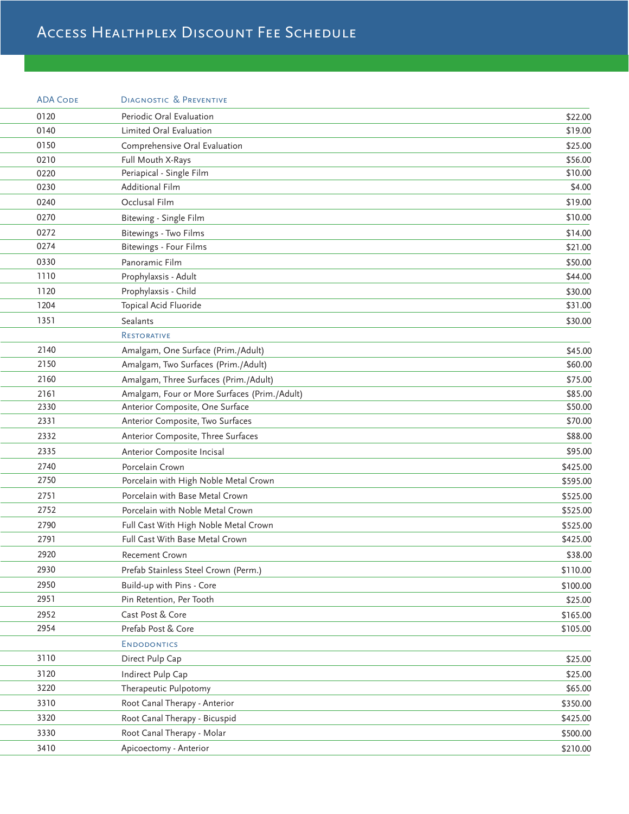## Access Healthplex Discount Fee Schedule

|      | <b>ADA CODE</b> | <b>DIAGNOSTIC &amp; PREVENTIVE</b>           |          |
|------|-----------------|----------------------------------------------|----------|
| 0120 |                 | Periodic Oral Evaluation                     | \$22.00  |
| 0140 |                 | Limited Oral Evaluation                      | \$19.00  |
| 0150 |                 | Comprehensive Oral Evaluation                | \$25.00  |
| 0210 |                 | Full Mouth X-Rays                            | \$56.00  |
| 0220 |                 | Periapical - Single Film                     | \$10.00  |
| 0230 |                 | Additional Film                              | \$4.00   |
| 0240 |                 | Occlusal Film                                | \$19.00  |
| 0270 |                 | Bitewing - Single Film                       | \$10.00  |
| 0272 |                 | Bitewings - Two Films                        | \$14.00  |
| 0274 |                 | Bitewings - Four Films                       | \$21.00  |
| 0330 |                 | Panoramic Film                               | \$50.00  |
| 1110 |                 | Prophylaxsis - Adult                         | \$44.00  |
| 1120 |                 | Prophylaxsis - Child                         | \$30.00  |
| 1204 |                 | Topical Acid Fluoride                        | \$31.00  |
| 1351 |                 | Sealants                                     | \$30.00  |
|      |                 | <b>RESTORATIVE</b>                           |          |
| 2140 |                 | Amalgam, One Surface (Prim./Adult)           | \$45.00  |
| 2150 |                 | Amalgam, Two Surfaces (Prim./Adult)          | \$60.00  |
| 2160 |                 | Amalgam, Three Surfaces (Prim./Adult)        | \$75.00  |
| 2161 |                 | Amalgam, Four or More Surfaces (Prim./Adult) | \$85.00  |
| 2330 |                 | Anterior Composite, One Surface              | \$50.00  |
| 2331 |                 | Anterior Composite, Two Surfaces             | \$70.00  |
| 2332 |                 | Anterior Composite, Three Surfaces           | \$88.00  |
| 2335 |                 | Anterior Composite Incisal                   | \$95.00  |
| 2740 |                 | Porcelain Crown                              | \$425.00 |
| 2750 |                 | Porcelain with High Noble Metal Crown        | \$595.00 |
| 2751 |                 | Porcelain with Base Metal Crown              | \$525.00 |
| 2752 |                 | Porcelain with Noble Metal Crown             | \$525.00 |
| 2790 |                 | Full Cast With High Noble Metal Crown        | \$525.00 |
| 2791 |                 | Full Cast With Base Metal Crown              | \$425.00 |
| 2920 |                 | Recement Crown                               | \$38.00  |
| 2930 |                 | Prefab Stainless Steel Crown (Perm.)         | \$110.00 |
| 2950 |                 | Build-up with Pins - Core                    | \$100.00 |
| 2951 |                 | Pin Retention, Per Tooth                     | \$25.00  |
| 2952 |                 | Cast Post & Core                             | \$165.00 |
| 2954 |                 | Prefab Post & Core                           | \$105.00 |
|      |                 | <b>ENDODONTICS</b>                           |          |
| 3110 |                 | Direct Pulp Cap                              | \$25.00  |
| 3120 |                 | Indirect Pulp Cap                            | \$25.00  |
| 3220 |                 | Therapeutic Pulpotomy                        | \$65.00  |
| 3310 |                 | Root Canal Therapy - Anterior                | \$350.00 |
| 3320 |                 | Root Canal Therapy - Bicuspid                | \$425.00 |
| 3330 |                 | Root Canal Therapy - Molar                   | \$500.00 |
| 3410 |                 | Apicoectomy - Anterior                       | \$210.00 |
|      |                 |                                              |          |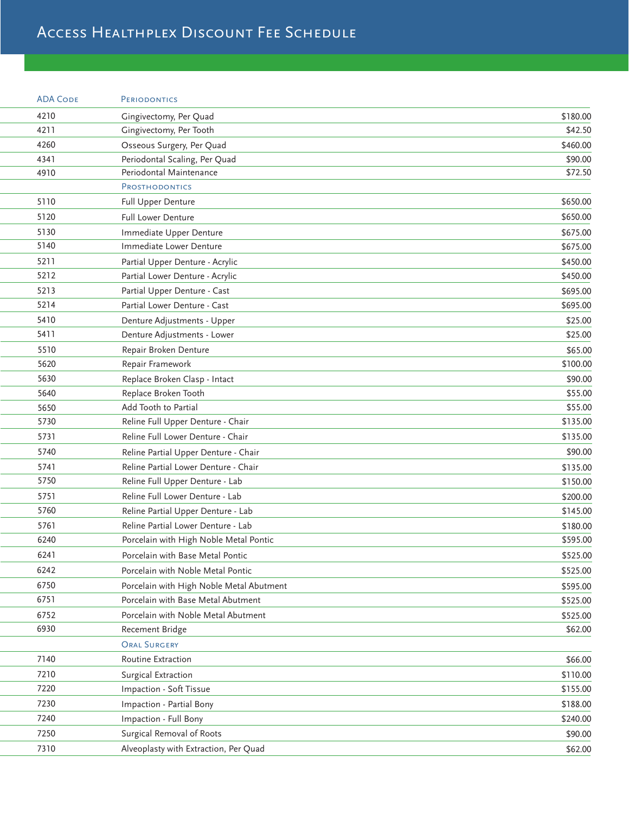## Access Healthplex Discount Fee Schedule

| <b>ADA CODE</b> | <b>PERIODONTICS</b>                      |          |
|-----------------|------------------------------------------|----------|
| 4210            | Gingivectomy, Per Quad                   | \$180.00 |
| 4211            | Gingivectomy, Per Tooth                  | \$42.50  |
| 4260            | Osseous Surgery, Per Quad                | \$460.00 |
| 4341            | Periodontal Scaling, Per Quad            | \$90.00  |
| 4910            | Periodontal Maintenance                  | \$72.50  |
|                 | <b>PROSTHODONTICS</b>                    |          |
| 5110            | Full Upper Denture                       | \$650.00 |
| 5120            | <b>Full Lower Denture</b>                | \$650.00 |
| 5130            | Immediate Upper Denture                  | \$675.00 |
| 5140            | Immediate Lower Denture                  | \$675.00 |
| 5211            | Partial Upper Denture - Acrylic          | \$450.00 |
| 5212            | Partial Lower Denture - Acrylic          | \$450.00 |
| 5213            | Partial Upper Denture - Cast             | \$695.00 |
| 5214            | Partial Lower Denture - Cast             | \$695.00 |
| 5410            | Denture Adjustments - Upper              | \$25.00  |
| 5411            | Denture Adjustments - Lower              | \$25.00  |
| 5510            | Repair Broken Denture                    | \$65.00  |
| 5620            | Repair Framework                         | \$100.00 |
| 5630            | Replace Broken Clasp - Intact            | \$90.00  |
| 5640            | Replace Broken Tooth                     | \$55.00  |
| 5650            | Add Tooth to Partial                     | \$55.00  |
| 5730            | Reline Full Upper Denture - Chair        | \$135.00 |
| 5731            | Reline Full Lower Denture - Chair        | \$135.00 |
| 5740            | Reline Partial Upper Denture - Chair     | \$90.00  |
| 5741            | Reline Partial Lower Denture - Chair     | \$135.00 |
| 5750            | Reline Full Upper Denture - Lab          | \$150.00 |
| 5751            | Reline Full Lower Denture - Lab          | \$200.00 |
| 5760            | Reline Partial Upper Denture - Lab       | \$145.00 |
| 5761            | Reline Partial Lower Denture - Lab       | \$180.00 |
| 6240            | Porcelain with High Noble Metal Pontic   | \$595.00 |
| 6241            | Porcelain with Base Metal Pontic         | \$525.00 |
| 6242            | Porcelain with Noble Metal Pontic        | \$525.00 |
| 6750            | Porcelain with High Noble Metal Abutment | \$595.00 |
| 6751            | Porcelain with Base Metal Abutment       | \$525.00 |
| 6752            | Porcelain with Noble Metal Abutment      | \$525.00 |
| 6930            | Recement Bridge                          | \$62.00  |
|                 | ORAL SURGERY                             |          |
| 7140            | Routine Extraction                       | \$66.00  |
| 7210            | Surgical Extraction                      | \$110.00 |
| 7220            | Impaction - Soft Tissue                  | \$155.00 |
| 7230            | Impaction - Partial Bony                 |          |
|                 |                                          | \$188.00 |
| 7240            | Impaction - Full Bony                    | \$240.00 |
| 7250            | Surgical Removal of Roots                | \$90.00  |
| 7310            | Alveoplasty with Extraction, Per Quad    | \$62.00  |